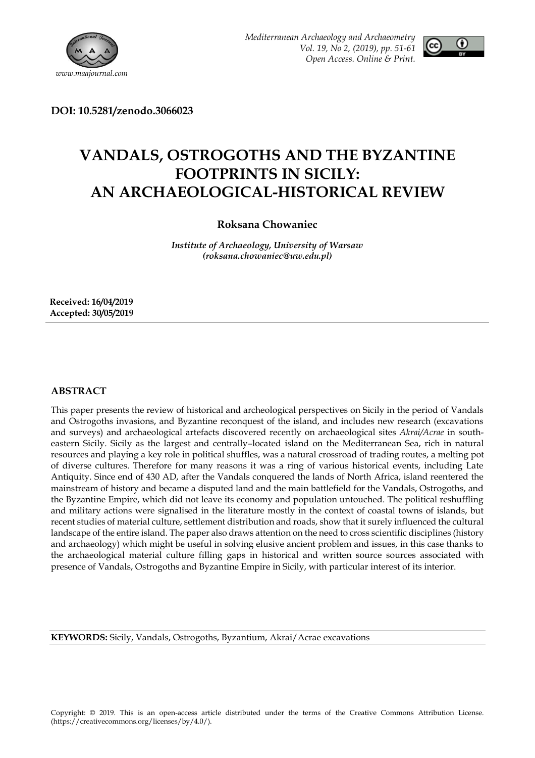



**DOI: 10.5281/zenodo.3066023**

# **VANDALS, OSTROGOTHS AND THE BYZANTINE FOOTPRINTS IN SICILY: AN ARCHAEOLOGICAL-HISTORICAL REVIEW**

## **Roksana Chowaniec**

*Institute of Archaeology, University of Warsaw (roksana.chowaniec@uw.edu.pl)*

**Received: 16/04/2019 Accepted: 30/05/2019**

## **ABSTRACT**

This paper presents the review of historical and archeological perspectives on Sicily in the period of Vandals and Ostrogoths invasions, and Byzantine reconquest of the island, and includes new research (excavations and surveys) and archaeological artefacts discovered recently on archaeological sites *Akrai/Acrae* in southeastern Sicily. Sicily as the largest and centrally–located island on the Mediterranean Sea, rich in natural resources and playing a key role in political shuffles, was a natural crossroad of trading routes, a melting pot of diverse cultures. Therefore for many reasons it was a ring of various historical events, including Late Antiquity. Since end of 430 AD, after the Vandals conquered the lands of North Africa, island reentered the mainstream of history and became a disputed land and the main battlefield for the Vandals, Ostrogoths, and the Byzantine Empire, which did not leave its economy and population untouched. The political reshuffling and military actions were signalised in the literature mostly in the context of coastal towns of islands, but recent studies of material culture, settlement distribution and roads, show that it surely influenced the cultural landscape of the entire island. The paper also draws attention on the need to cross scientific disciplines (history and archaeology) which might be useful in solving elusive ancient problem and issues, in this case thanks to the archaeological material culture filling gaps in historical and written source sources associated with presence of Vandals, Ostrogoths and Byzantine Empire in Sicily, with particular interest of its interior.

**KEYWORDS:** Sicily, Vandals, Ostrogoths, Byzantium, Akrai/Acrae excavations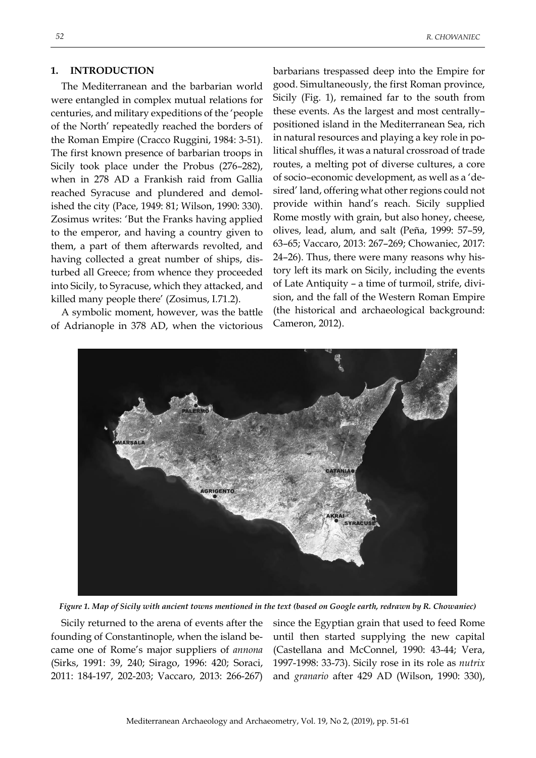#### **1. INTRODUCTION**

The Mediterranean and the barbarian world were entangled in complex mutual relations for centuries, and military expeditions of the 'people of the North' repeatedly reached the borders of the Roman Empire (Cracco Ruggini, 1984: 3-51). The first known presence of barbarian troops in Sicily took place under the Probus (276–282), when in 278 AD a Frankish raid from Gallia reached Syracuse and plundered and demolished the city (Pace, 1949: 81; Wilson, 1990: 330). Zosimus writes: 'But the Franks having applied to the emperor, and having a country given to them, a part of them afterwards revolted, and having collected a great number of ships, disturbed all Greece; from whence they proceeded into Sicily, to Syracuse, which they attacked, and killed many people there' (Zosimus, I.71.2).

A symbolic moment, however, was the battle of Adrianople in 378 AD, when the victorious

barbarians trespassed deep into the Empire for good. Simultaneously, the first Roman province, Sicily (Fig. 1), remained far to the south from these events. As the largest and most centrally– positioned island in the Mediterranean Sea, rich in natural resources and playing a key role in political shuffles, it was a natural crossroad of trade routes, a melting pot of diverse cultures, a core of socio–economic development, as well as a 'desired' land, offering what other regions could not provide within hand's reach. Sicily supplied Rome mostly with grain, but also honey, cheese, olives, lead, alum, and salt (Peña, 1999: 57–59, 63–65; Vaccaro, 2013: 267–269; Chowaniec, 2017: 24–26). Thus, there were many reasons why history left its mark on Sicily, including the events of Late Antiquity – a time of turmoil, strife, division, and the fall of the Western Roman Empire (the historical and archaeological background: Cameron, 2012).



*Figure 1. Map of Sicily with ancient towns mentioned in the text (based on Google earth, redrawn by R. Chowaniec)*

Sicily returned to the arena of events after the founding of Constantinople, when the island became one of Rome's major suppliers of *annona* (Sirks, 1991: 39, 240; Sirago, 1996: 420; Soraci, 2011: 184-197, 202-203; Vaccaro, 2013: 266-267)

since the Egyptian grain that used to feed Rome until then started supplying the new capital (Castellana and McConnel, 1990: 43-44; Vera, 1997-1998: 33-73). Sicily rose in its role as *nutrix* and *granario* after 429 AD (Wilson, 1990: 330),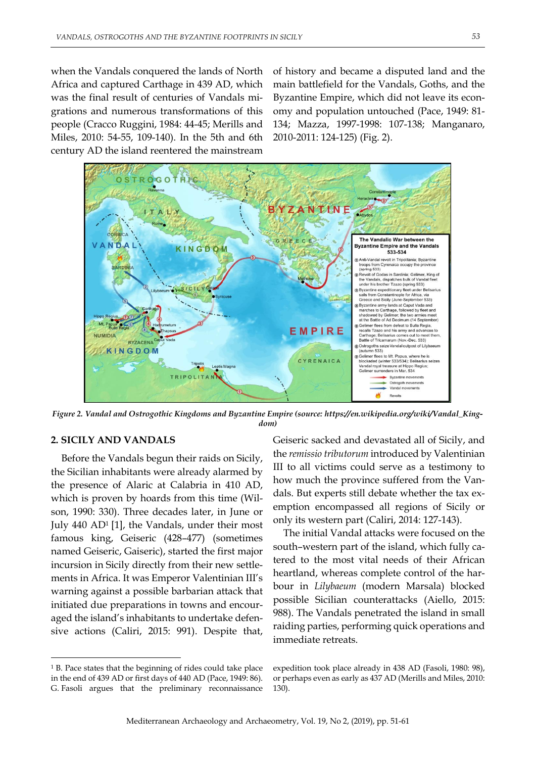when the Vandals conquered the lands of North Africa and captured Carthage in 439 AD, which was the final result of centuries of Vandals migrations and numerous transformations of this people (Cracco Ruggini, 1984: 44-45; Merills and Miles, 2010: 54-55, 109-140). In the 5th and 6th century AD the island reentered the mainstream

of history and became a disputed land and the main battlefield for the Vandals, Goths, and the Byzantine Empire, which did not leave its economy and population untouched (Pace, 1949: 81- 134; Mazza, 1997-1998: 107-138; Manganaro, 2010-2011: 124-125) (Fig. 2).



*Figure 2. Vandal and Ostrogothic Kingdoms and Byzantine Empire (source: https://en.wikipedia.org/wiki/Vandal\_Kingdom)*

## **2. SICILY AND VANDALS**

-

Before the Vandals begun their raids on Sicily, the Sicilian inhabitants were already alarmed by the presence of Alaric at Calabria in 410 AD, which is proven by hoards from this time (Wilson, 1990: 330). Three decades later, in June or July 440 AD<sup>1</sup> [1], the Vandals, under their most famous king, Geiseric (428–477) (sometimes named Geiseric, Gaiseric), started the first major incursion in Sicily directly from their new settlements in Africa. It was Emperor Valentinian III's warning against a possible barbarian attack that initiated due preparations in towns and encouraged the island's inhabitants to undertake defensive actions (Caliri, 2015: 991). Despite that,

<sup>1</sup> B. Pace states that the beginning of rides could take place in the end of 439 AD or first days of 440 AD (Pace, 1949: 86). G. Fasoli argues that the preliminary reconnaissance

Geiseric sacked and devastated all of Sicily, and the *remissio tributorum* introduced by Valentinian III to all victims could serve as a testimony to how much the province suffered from the Vandals. But experts still debate whether the tax exemption encompassed all regions of Sicily or only its western part (Caliri, 2014: 127-143).

The initial Vandal attacks were focused on the south–western part of the island, which fully catered to the most vital needs of their African heartland, whereas complete control of the harbour in *Lilybaeum* (modern Marsala) blocked possible Sicilian counterattacks (Aiello, 2015: 988). The Vandals penetrated the island in small raiding parties, performing quick operations and immediate retreats.

expedition took place already in 438 AD (Fasoli, 1980: 98), or perhaps even as early as 437 AD (Merills and Miles, 2010: 130).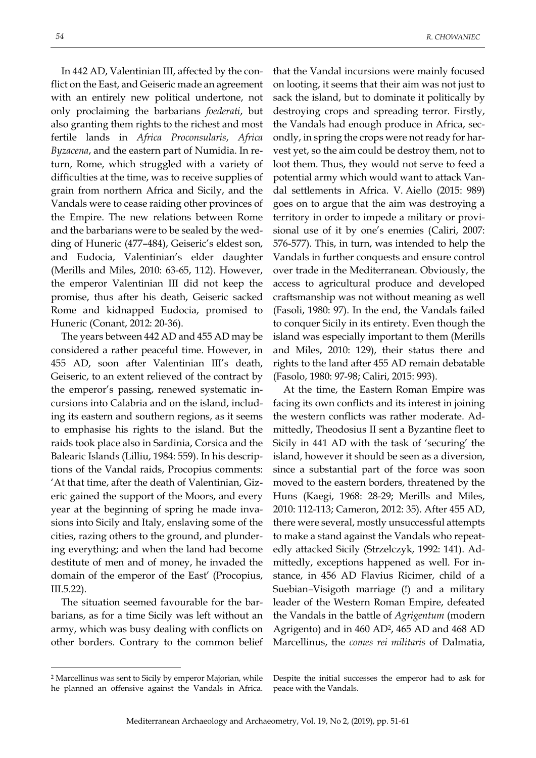In 442 AD, Valentinian III, affected by the conflict on the East, and Geiseric made an agreement with an entirely new political undertone, not only proclaiming the barbarians *foederati*, but also granting them rights to the richest and most fertile lands in *Africa Proconsularis*, *Africa Byzacena*, and the eastern part of Numidia. In return, Rome, which struggled with a variety of difficulties at the time, was to receive supplies of grain from northern Africa and Sicily, and the Vandals were to cease raiding other provinces of the Empire. The new relations between Rome and the barbarians were to be sealed by the wedding of Huneric (477–484), Geiseric's eldest son, and Eudocia, Valentinian's elder daughter (Merills and Miles, 2010: 63-65, 112). However, the emperor Valentinian III did not keep the promise, thus after his death, Geiseric sacked

Huneric (Conant, 2012: 20-36). The years between 442 AD and 455 AD may be considered a rather peaceful time. However, in 455 AD, soon after Valentinian III's death, Geiseric, to an extent relieved of the contract by the emperor's passing, renewed systematic incursions into Calabria and on the island, including its eastern and southern regions, as it seems to emphasise his rights to the island. But the raids took place also in Sardinia, Corsica and the Balearic Islands (Lilliu, 1984: 559). In his descriptions of the Vandal raids, Procopius comments: 'At that time, after the death of Valentinian, Gizeric gained the support of the Moors, and every year at the beginning of spring he made invasions into Sicily and Italy, enslaving some of the cities, razing others to the ground, and plundering everything; and when the land had become destitute of men and of money, he invaded the domain of the emperor of the East' (Procopius, III.5.22).

Rome and kidnapped Eudocia, promised to

The situation seemed favourable for the barbarians, as for a time Sicily was left without an army, which was busy dealing with conflicts on other borders. Contrary to the common belief

that the Vandal incursions were mainly focused on looting, it seems that their aim was not just to sack the island, but to dominate it politically by destroying crops and spreading terror. Firstly, the Vandals had enough produce in Africa, secondly, in spring the crops were not ready for harvest yet, so the aim could be destroy them, not to loot them. Thus, they would not serve to feed a potential army which would want to attack Vandal settlements in Africa. V. Aiello (2015: 989) goes on to argue that the aim was destroying a territory in order to impede a military or provisional use of it by one's enemies (Caliri, 2007: 576-577). This, in turn, was intended to help the Vandals in further conquests and ensure control over trade in the Mediterranean. Obviously, the access to agricultural produce and developed craftsmanship was not without meaning as well (Fasoli, 1980: 97). In the end, the Vandals failed to conquer Sicily in its entirety. Even though the island was especially important to them (Merills and Miles, 2010: 129), their status there and rights to the land after 455 AD remain debatable (Fasolo, 1980: 97-98; Caliri, 2015: 993).

At the time, the Eastern Roman Empire was facing its own conflicts and its interest in joining the western conflicts was rather moderate. Admittedly, Theodosius II sent a Byzantine fleet to Sicily in 441 AD with the task of 'securing' the island, however it should be seen as a diversion, since a substantial part of the force was soon moved to the eastern borders, threatened by the Huns (Kaegi, 1968: 28-29; Merills and Miles, 2010: 112-113; Cameron, 2012: 35). After 455 AD, there were several, mostly unsuccessful attempts to make a stand against the Vandals who repeatedly attacked Sicily (Strzelczyk, 1992: 141). Admittedly, exceptions happened as well. For instance, in 456 AD Flavius Ricimer, child of a Suebian–Visigoth marriage (!) and a military leader of the Western Roman Empire, defeated the Vandals in the battle of *Agrigentum* (modern Agrigento) and in 460 AD2, 465 AD and 468 AD Marcellinus, the *comes rei militaris* of Dalmatia,

<u>.</u>

<sup>2</sup> Marcellinus was sent to Sicily by emperor Majorian, while he planned an offensive against the Vandals in Africa.

Despite the initial successes the emperor had to ask for peace with the Vandals.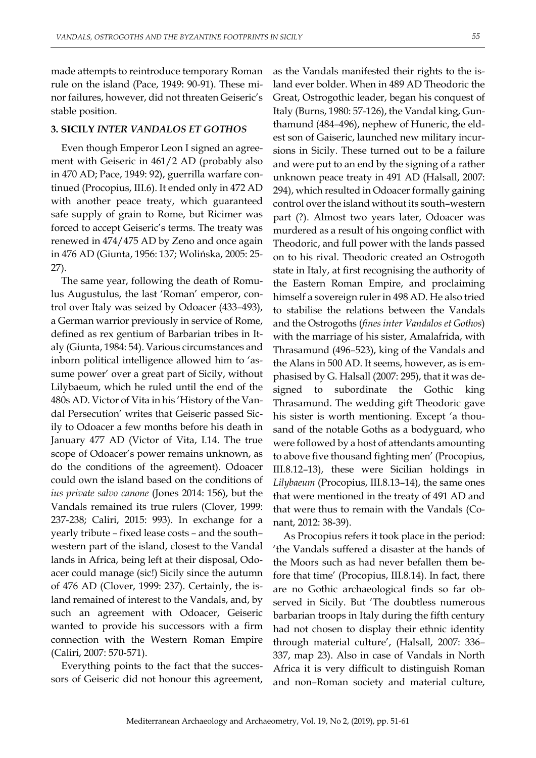made attempts to reintroduce temporary Roman rule on the island (Pace, 1949: 90-91). These minor failures, however, did not threaten Geiseric's stable position.

#### **3. SICILY** *INTER VANDALOS ET GOTHOS*

Even though Emperor Leon I signed an agreement with Geiseric in 461/2 AD (probably also in 470 AD; Pace, 1949: 92), guerrilla warfare continued (Procopius, III.6). It ended only in 472 AD with another peace treaty, which guaranteed safe supply of grain to Rome, but Ricimer was forced to accept Geiseric's terms. The treaty was renewed in 474/475 AD by Zeno and once again in 476 AD (Giunta, 1956: 137; Wolińska, 2005: 25- 27).

The same year, following the death of Romulus Augustulus, the last 'Roman' emperor, control over Italy was seized by Odoacer (433–493), a German warrior previously in service of Rome, defined as rex gentium of Barbarian tribes in Italy (Giunta, 1984: 54). Various circumstances and inborn political intelligence allowed him to 'assume power' over a great part of Sicily, without Lilybaeum, which he ruled until the end of the 480s AD. Victor of Vita in his 'History of the Vandal Persecution' writes that Geiseric passed Sicily to Odoacer a few months before his death in January 477 AD (Victor of Vita, I.14. The true scope of Odoacer's power remains unknown, as do the conditions of the agreement). Odoacer could own the island based on the conditions of *ius private salvo canone* (Jones 2014: 156), but the Vandals remained its true rulers (Clover, 1999: 237-238; Caliri, 2015: 993). In exchange for a yearly tribute – fixed lease costs – and the south– western part of the island, closest to the Vandal lands in Africa, being left at their disposal, Odoacer could manage (sic!) Sicily since the autumn of 476 AD (Clover, 1999: 237). Certainly, the island remained of interest to the Vandals, and, by such an agreement with Odoacer, Geiseric wanted to provide his successors with a firm connection with the Western Roman Empire (Caliri, 2007: 570-571).

Everything points to the fact that the successors of Geiseric did not honour this agreement,

as the Vandals manifested their rights to the island ever bolder. When in 489 AD Theodoric the Great, Ostrogothic leader, began his conquest of Italy (Burns, 1980: 57-126), the Vandal king, Gunthamund (484–496), nephew of Huneric, the eldest son of Gaiseric, launched new military incursions in Sicily. These turned out to be a failure and were put to an end by the signing of a rather unknown peace treaty in 491 AD (Halsall, 2007: 294), which resulted in Odoacer formally gaining control over the island without its south–western part (?). Almost two years later, Odoacer was murdered as a result of his ongoing conflict with Theodoric, and full power with the lands passed on to his rival. Theodoric created an Ostrogoth state in Italy, at first recognising the authority of the Eastern Roman Empire, and proclaiming himself a sovereign ruler in 498 AD. He also tried to stabilise the relations between the Vandals and the Ostrogoths (*fines inter Vandalos et Gothos*) with the marriage of his sister, Amalafrida, with Thrasamund (496–523), king of the Vandals and the Alans in 500 AD. It seems, however, as is emphasised by G. Halsall (2007: 295), that it was designed to subordinate the Gothic king Thrasamund. The wedding gift Theodoric gave his sister is worth mentioning. Except 'a thousand of the notable Goths as a bodyguard, who were followed by a host of attendants amounting to above five thousand fighting men' (Procopius, III.8.12–13), these were Sicilian holdings in *Lilybaeum* (Procopius, III.8.13–14), the same ones that were mentioned in the treaty of 491 AD and that were thus to remain with the Vandals (Conant, 2012: 38-39).

As Procopius refers it took place in the period: 'the Vandals suffered a disaster at the hands of the Moors such as had never befallen them before that time' (Procopius, III.8.14). In fact, there are no Gothic archaeological finds so far observed in Sicily. But 'The doubtless numerous barbarian troops in Italy during the fifth century had not chosen to display their ethnic identity through material culture', (Halsall, 2007: 336– 337, map 23). Also in case of Vandals in North Africa it is very difficult to distinguish Roman and non–Roman society and material culture,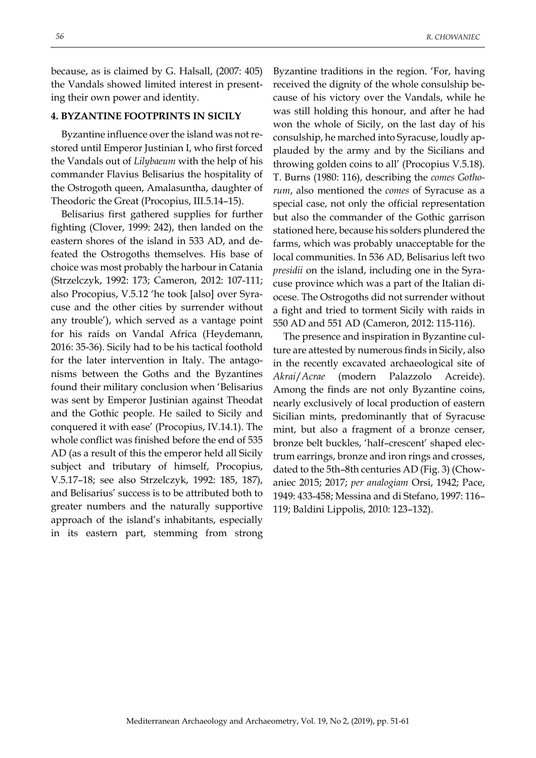because, as is claimed by G. Halsall, (2007: 405) the Vandals showed limited interest in presenting their own power and identity.

### **4. BYZANTINE FOOTPRINTS IN SICILY**

Byzantine influence over the island was not restored until Emperor Justinian I, who first forced the Vandals out of *Lilybaeum* with the help of his commander Flavius Belisarius the hospitality of the Ostrogoth queen, Amalasuntha, daughter of Theodoric the Great (Procopius, III.5.14–15).

Belisarius first gathered supplies for further fighting (Clover, 1999: 242), then landed on the eastern shores of the island in 533 AD, and defeated the Ostrogoths themselves. His base of choice was most probably the harbour in Catania (Strzelczyk, 1992: 173; Cameron, 2012: 107-111; also Procopius, V.5.12 'he took [also] over Syracuse and the other cities by surrender without any trouble'), which served as a vantage point for his raids on Vandal Africa (Heydemann, 2016: 35-36). Sicily had to be his tactical foothold for the later intervention in Italy. The antagonisms between the Goths and the Byzantines found their military conclusion when 'Belisarius was sent by Emperor Justinian against Theodat and the Gothic people. He sailed to Sicily and conquered it with ease' (Procopius, IV.14.1). The whole conflict was finished before the end of 535 AD (as a result of this the emperor held all Sicily subject and tributary of himself, Procopius, V.5.17–18; see also Strzelczyk, 1992: 185, 187), and Belisarius' success is to be attributed both to greater numbers and the naturally supportive approach of the island's inhabitants, especially in its eastern part, stemming from strong

Byzantine traditions in the region. 'For, having received the dignity of the whole consulship because of his victory over the Vandals, while he was still holding this honour, and after he had won the whole of Sicily, on the last day of his consulship, he marched into Syracuse, loudly applauded by the army and by the Sicilians and throwing golden coins to all' (Procopius V.5.18). T. Burns (1980: 116), describing the *comes Gothorum*, also mentioned the *comes* of Syracuse as a special case, not only the official representation but also the commander of the Gothic garrison stationed here, because his solders plundered the farms, which was probably unacceptable for the local communities. In 536 AD, Belisarius left two *presidii* on the island, including one in the Syracuse province which was a part of the Italian diocese. The Ostrogoths did not surrender without a fight and tried to torment Sicily with raids in 550 AD and 551 AD (Cameron, 2012: 115-116).

The presence and inspiration in Byzantine culture are attested by numerous finds in Sicily, also in the recently excavated archaeological site of *Akrai*/*Acrae* (modern Palazzolo Acreide). Among the finds are not only Byzantine coins, nearly exclusively of local production of eastern Sicilian mints, predominantly that of Syracuse mint, but also a fragment of a bronze censer, bronze belt buckles, 'half–crescent' shaped electrum earrings, bronze and iron rings and crosses, dated to the 5th–8th centuries AD (Fig. 3) (Chowaniec 2015; 2017; *per analogiam* Orsi, 1942; Pace, 1949: 433-458; Messina and di Stefano, 1997: 116– 119; Baldini Lippolis, 2010: 123–132).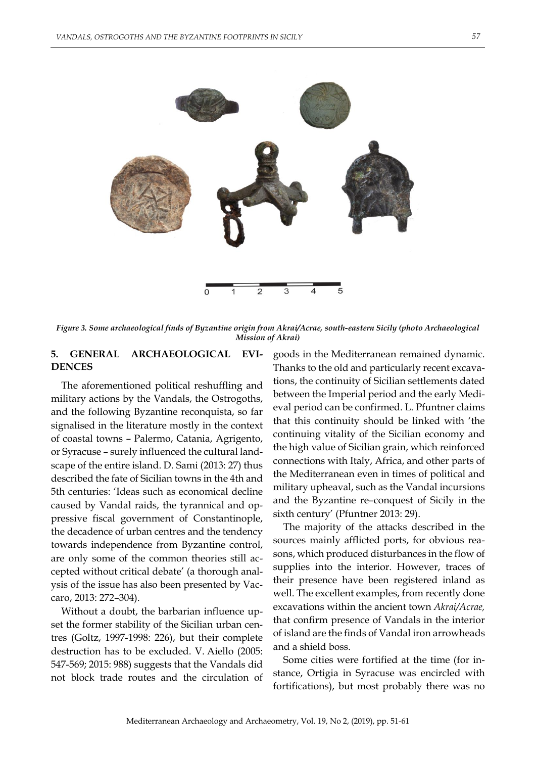

*Figure 3. Some archaeological finds of Byzantine origin from Akrai/Acrae, south-eastern Sicily (photo Archaeological Mission of Akrai)*

## **5. GENERAL ARCHAEOLOGICAL EVI-DENCES**

The aforementioned political reshuffling and military actions by the Vandals, the Ostrogoths, and the following Byzantine reconquista, so far signalised in the literature mostly in the context of coastal towns – Palermo, Catania, Agrigento, or Syracuse – surely influenced the cultural landscape of the entire island. D. Sami (2013: 27) thus described the fate of Sicilian towns in the 4th and 5th centuries: 'Ideas such as economical decline caused by Vandal raids, the tyrannical and oppressive fiscal government of Constantinople, the decadence of urban centres and the tendency towards independence from Byzantine control, are only some of the common theories still accepted without critical debate' (a thorough analysis of the issue has also been presented by Vaccaro, 2013: 272–304).

Without a doubt, the barbarian influence upset the former stability of the Sicilian urban centres (Goltz, 1997-1998: 226), but their complete destruction has to be excluded. V. Aiello (2005: 547-569; 2015: 988) suggests that the Vandals did not block trade routes and the circulation of goods in the Mediterranean remained dynamic. Thanks to the old and particularly recent excavations, the continuity of Sicilian settlements dated between the Imperial period and the early Medieval period can be confirmed. L. Pfuntner claims that this continuity should be linked with 'the continuing vitality of the Sicilian economy and the high value of Sicilian grain, which reinforced connections with Italy, Africa, and other parts of the Mediterranean even in times of political and military upheaval, such as the Vandal incursions and the Byzantine re–conquest of Sicily in the sixth century' (Pfuntner 2013: 29).

The majority of the attacks described in the sources mainly afflicted ports, for obvious reasons, which produced disturbances in the flow of supplies into the interior. However, traces of their presence have been registered inland as well. The excellent examples, from recently done excavations within the ancient town *Akrai/Acrae,* that confirm presence of Vandals in the interior of island are the finds of Vandal iron arrowheads and a shield boss.

Some cities were fortified at the time (for instance, Ortigia in Syracuse was encircled with fortifications), but most probably there was no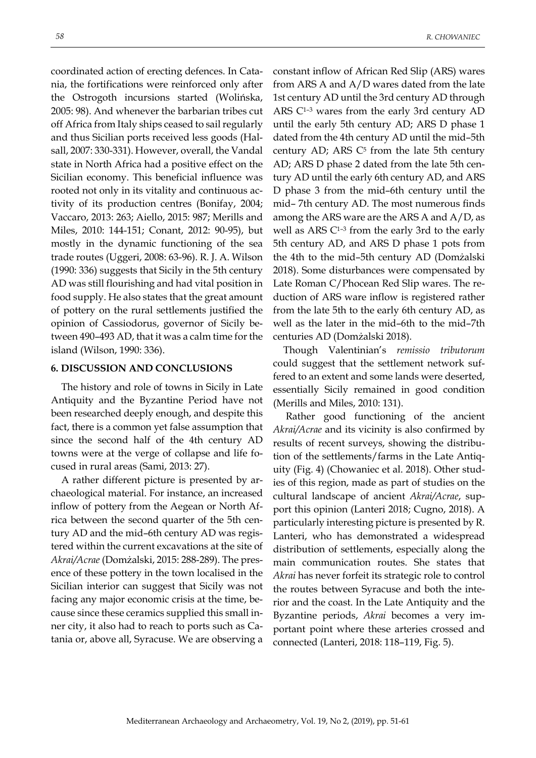coordinated action of erecting defences. In Catania, the fortifications were reinforced only after the Ostrogoth incursions started (Wolińska, 2005: 98). And whenever the barbarian tribes cut off Africa from Italy ships ceased to sail regularly and thus Sicilian ports received less goods (Halsall, 2007: 330-331). However, overall, the Vandal state in North Africa had a positive effect on the Sicilian economy. This beneficial influence was rooted not only in its vitality and continuous activity of its production centres (Bonifay, 2004; Vaccaro, 2013: 263; Aiello, 2015: 987; Merills and Miles, 2010: 144-151; Conant, 2012: 90-95), but mostly in the dynamic functioning of the sea trade routes (Uggeri, 2008: 63-96). R. J. A. Wilson (1990: 336) suggests that Sicily in the 5th century AD was still flourishing and had vital position in food supply. He also states that the great amount of pottery on the rural settlements justified the

opinion of Cassiodorus, governor of Sicily between 490-493 AD, that it was a calm time for the island (Wilson, 1990: 336).

## **6. DISCUSSION AND CONCLUSIONS**

The history and role of towns in Sicily in Late Antiquity and the Byzantine Period have not been researched deeply enough, and despite this fact, there is a common yet false assumption that since the second half of the 4th century AD towns were at the verge of collapse and life focused in rural areas (Sami, 2013: 27).

A rather different picture is presented by archaeological material. For instance, an increased inflow of pottery from the Aegean or North Africa between the second quarter of the 5th century AD and the mid–6th century AD was registered within the current excavations at the site of *Akrai/Acrae* (Domżalski, 2015: 288-289). The presence of these pottery in the town localised in the Sicilian interior can suggest that Sicily was not facing any major economic crisis at the time, because since these ceramics supplied this small inner city, it also had to reach to ports such as Catania or, above all, Syracuse. We are observing a

constant inflow of African Red Slip (ARS) wares from ARS A and A/D wares dated from the late 1st century AD until the 3rd century AD through ARS C<sup>1-3</sup> wares from the early 3rd century AD until the early 5th century AD; ARS D phase 1 dated from the 4th century AD until the mid–5th century AD; ARS  $C<sup>5</sup>$  from the late 5th century AD; ARS D phase 2 dated from the late 5th century AD until the early 6th century AD, and ARS D phase 3 from the mid–6th century until the mid– 7th century AD. The most numerous finds among the ARS ware are the ARS A and A/D, as well as ARS  $C<sup>1-3</sup>$  from the early 3rd to the early 5th century AD, and ARS D phase 1 pots from the 4th to the mid–5th century AD (Domżalski 2018). Some disturbances were compensated by Late Roman C/Phocean Red Slip wares. The reduction of ARS ware inflow is registered rather from the late 5th to the early 6th century AD, as well as the later in the mid–6th to the mid–7th centuries AD (Domżalski 2018).

Though Valentinian's *remissio tributorum* could suggest that the settlement network suffered to an extent and some lands were deserted, essentially Sicily remained in good condition (Merills and Miles, 2010: 131).

Rather good functioning of the ancient *Akrai/Acrae* and its vicinity is also confirmed by results of recent surveys, showing the distribution of the settlements/farms in the Late Antiquity (Fig. 4) (Chowaniec et al. 2018). Other studies of this region, made as part of studies on the cultural landscape of ancient *Akrai/Acrae*, support this opinion (Lanteri 2018; Cugno, 2018). A particularly interesting picture is presented by R. Lanteri, who has demonstrated a widespread distribution of settlements, especially along the main communication routes. She states that *Akrai* has never forfeit its strategic role to control the routes between Syracuse and both the interior and the coast. In the Late Antiquity and the Byzantine periods, *Akrai* becomes a very important point where these arteries crossed and connected (Lanteri, 2018: 118–119, Fig. 5).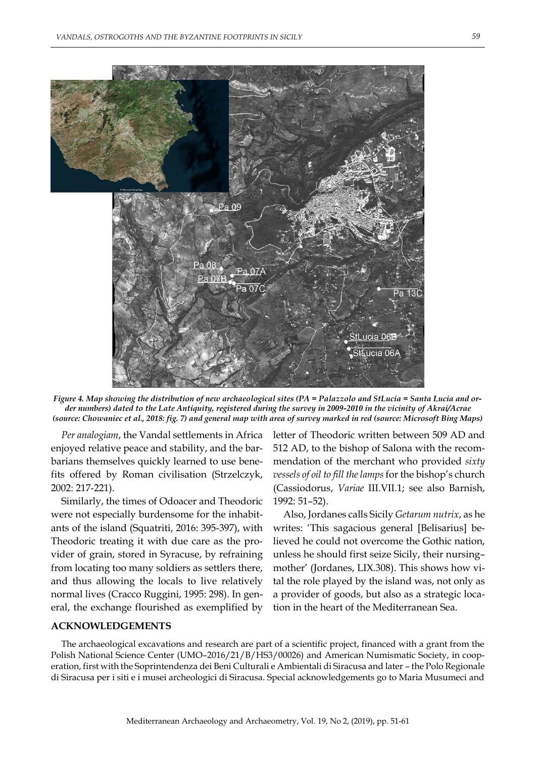

*Figure 4. Map showing the distribution of new archaeological sites (PA = Palazzolo and StLucia = Santa Lucia and order numbers) dated to the Late Antiquity, registered during the survey in 2009-2010 in the vicinity of Akrai/Acrae (source: Chowaniec et al., 2018: fig. 7) and general map with area of survey marked in red (source: Microsoft Bing Maps)*

*Per analogiam*, the Vandal settlements in Africa enjoyed relative peace and stability, and the barbarians themselves quickly learned to use benefits offered by Roman civilisation (Strzelczyk, 2002: 217-221).

Similarly, the times of Odoacer and Theodoric were not especially burdensome for the inhabitants of the island (Squatriti, 2016: 395-397), with Theodoric treating it with due care as the provider of grain, stored in Syracuse, by refraining from locating too many soldiers as settlers there, and thus allowing the locals to live relatively normal lives (Cracco Ruggini, 1995: 298). In general, the exchange flourished as exemplified by

## letter of Theodoric written between 509 AD and 512 AD, to the bishop of Salona with the recommendation of the merchant who provided *sixty vessels of oil to fill the lamps* for the bishop's church (Cassiodorus, *Variae* III.VII.1; see also Barnish, 1992: 51–52).

Also, Jordanes calls Sicily *Getarum nutrix*, as he writes: 'This sagacious general [Belisarius] believed he could not overcome the Gothic nation, unless he should first seize Sicily, their nursing– mother' (Jordanes, LIX.308). This shows how vital the role played by the island was, not only as a provider of goods, but also as a strategic location in the heart of the Mediterranean Sea.

#### **ACKNOWLEDGEMENTS**

The archaeological excavations and research are part of a scientific project, financed with a grant from the Polish National Science Center (UMO–2016/21/B/HS3/00026) and American Numismatic Society, in cooperation, first with the Soprintendenza dei Beni Culturali e Ambientali di Siracusa and later – the Polo Regionale di Siracusa per i siti e i musei archeologici di Siracusa. Special acknowledgements go to Maria Musumeci and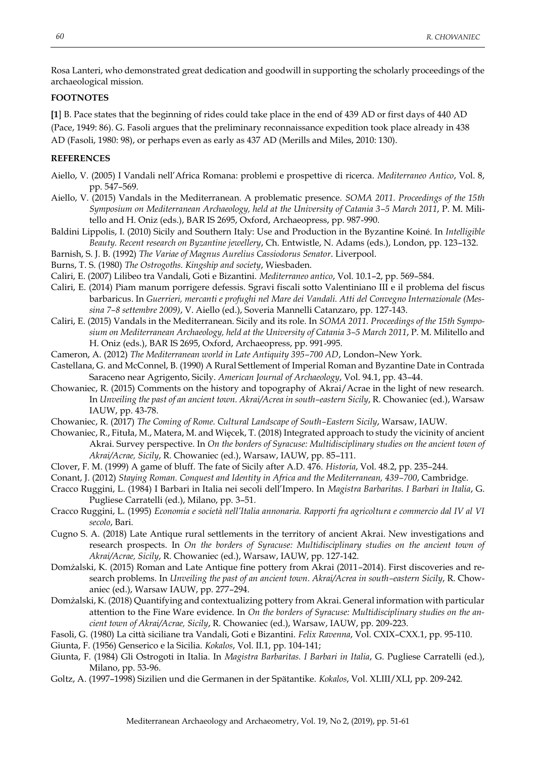Rosa Lanteri, who demonstrated great dedication and goodwill in supporting the scholarly proceedings of the archaeological mission.

## **FOOTNOTES**

**[1**] B. Pace states that the beginning of rides could take place in the end of 439 AD or first days of 440 AD (Pace, 1949: 86). G. Fasoli argues that the preliminary reconnaissance expedition took place already in 438 AD (Fasoli, 1980: 98), or perhaps even as early as 437 AD (Merills and Miles, 2010: 130).

#### **REFERENCES**

- Aiello, V. (2005) I Vandali nell'Africa Romana: problemi e prospettive di ricerca. *Mediterraneo Antico*, Vol. 8, pp. 547–569.
- Aiello, V. (2015) Vandals in the Mediterranean. A problematic presence. *SOMA 2011. Proceedings of the 15th Symposium on Mediterranean Archaeology, held at the University of Catania 3–5 March 2011*, P. M. Militello and H. Oniz (eds.), BAR IS 2695, Oxford, Archaeopress, pp. 987-990.
- Baldini Lippolis, I. (2010) Sicily and Southern Italy: Use and Production in the Byzantine Koiné. In *Intelligible Beauty. Recent research on Byzantine jewellery*, Ch. Entwistle, N. Adams (eds.), London, pp. 123–132.
- Barnish, S. J. B. (1992) *The Variae of Magnus Aurelius Cassiodorus Senator*. Liverpool.
- Burns, T. S. (1980) *The Ostrogoths. Kingship and society*, Wiesbaden.
- Caliri, E. (2007) Lilibeo tra Vandali, Goti e Bizantini. *Mediterraneo antico*, Vol. 10.1–2, pp. 569–584.
- Caliri, E. (2014) Piam manum porrigere defessis. Sgravi fiscali sotto Valentiniano III e il problema del fiscus barbaricus. In *Guerrieri, mercanti e profughi nel Mare dei Vandali. Atti del Convegno Internazionale (Messina 7–8 settembre 2009)*, V. Aiello (ed.), Soveria Mannelli Catanzaro, pp. 127-143.
- Caliri, E. (2015) Vandals in the Mediterranean. Sicily and its role. In *SOMA 2011. Proceedings of the 15th Symposium on Mediterranean Archaeology, held at the University of Catania 3–5 March 2011*, P. M. Militello and H. Oniz (eds.), BAR IS 2695, Oxford, Archaeopress, pp. 991-995.
- Cameron, A. (2012) *The Mediterranean world in Late Antiquity 395–700 AD*, London–New York.
- Castellana, G. and McConnel, B. (1990) A Rural Settlement of Imperial Roman and Byzantine Date in Contrada Saraceno near Agrigento, Sicily. *American Journal of Archaeology*, Vol. 94.1, pp. 43–44.
- Chowaniec, R. (2015) Comments on the history and topography of Akrai/Acrae in the light of new research. In *Unveiling the past of an ancient town. Akrai/Acrea in south–eastern Sicily*, R. Chowaniec (ed.), Warsaw IAUW, pp. 43-78.
- Chowaniec, R. (2017) *The Coming of Rome. Cultural Landscape of South–Eastern Sicily*, Warsaw, IAUW.
- Chowaniec, R., Fituła, M., Matera, M. and Więcek, T. (2018) Integrated approach to study the vicinity of ancient Akrai. Survey perspective. In *On the borders of Syracuse: Multidisciplinary studies on the ancient town of Akrai/Acrae, Sicily*, R. Chowaniec (ed.), Warsaw, IAUW, pp. 85–111.
- Clover, F. M. (1999) A game of bluff. The fate of Sicily after A.D. 476. *Historia*, Vol. 48.2, pp. 235–244.
- Conant, J. (2012) *Staying Roman. Conquest and Identity in Africa and the Mediterranean, 439–700*, Cambridge.
- Cracco Ruggini, L. (1984) I Barbari in Italia nei secoli dell'Impero. In *Magistra Barbaritas. I Barbari in Italia*, G. Pugliese Carratelli (ed.), Milano, pp. 3–51.
- Cracco Ruggini, L. (1995) *Economia e società nell'Italia annonaria. Rapporti fra agricoltura e commercio dal IV al VI secolo*, Bari.
- Cugno S. A. (2018) Late Antique rural settlements in the territory of ancient Akrai. New investigations and research prospects. In *On the borders of Syracuse: Multidisciplinary studies on the ancient town of Akrai/Acrae, Sicily*, R. Chowaniec (ed.), Warsaw, IAUW, pp. 127-142.
- Domżalski, K. (2015) Roman and Late Antique fine pottery from Akrai (2011–2014). First discoveries and research problems. In *Unveiling the past of an ancient town. Akrai/Acrea in south–eastern Sicily*, R. Chowaniec (ed.), Warsaw IAUW, pp. 277–294.
- Domżalski, K. (2018) Quantifying and contextualizing pottery from Akrai. General information with particular attention to the Fine Ware evidence. In *On the borders of Syracuse: Multidisciplinary studies on the ancient town of Akrai/Acrae, Sicily*, R. Chowaniec (ed.), Warsaw, IAUW, pp. 209-223.
- Fasoli, G. (1980) La città siciliane tra Vandali, Goti e Bizantini. *Felix Ravenna*, Vol. CXIX–CXX.1, pp. 95-110.
- Giunta, F. (1956) Genserico e la Sicilia. *Kokalos*, Vol. II.1, pp. 104-141;
- Giunta, F. (1984) Gli Ostrogoti in Italia. In *Magistra Barbaritas. I Barbari in Italia*, G. Pugliese Carratelli (ed.), Milano, pp. 53-96.
- Goltz, A. (1997–1998) Sizilien und die Germanen in der Spätantike. *Kokalos*, Vol. XLIII/XLI, pp. 209-242.